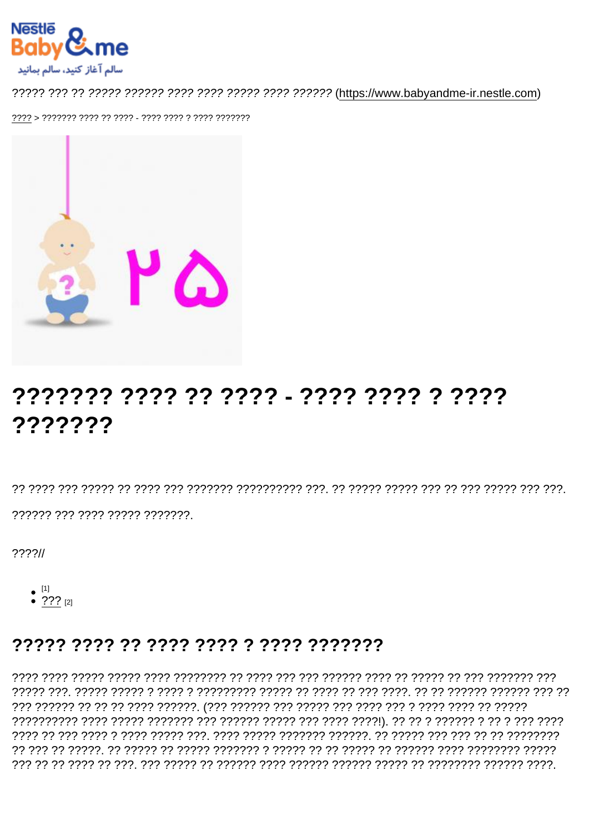# ??????? ???? ???? - ???? ???? ????? ???????

777777 777 7777 77777 7777777

 $??\frac{??}{$ 

•  $^{[1]}$ <br>• ???  $^{[2]}$ 

## 77777 7777 77 7777 7777 7 7777 7777777